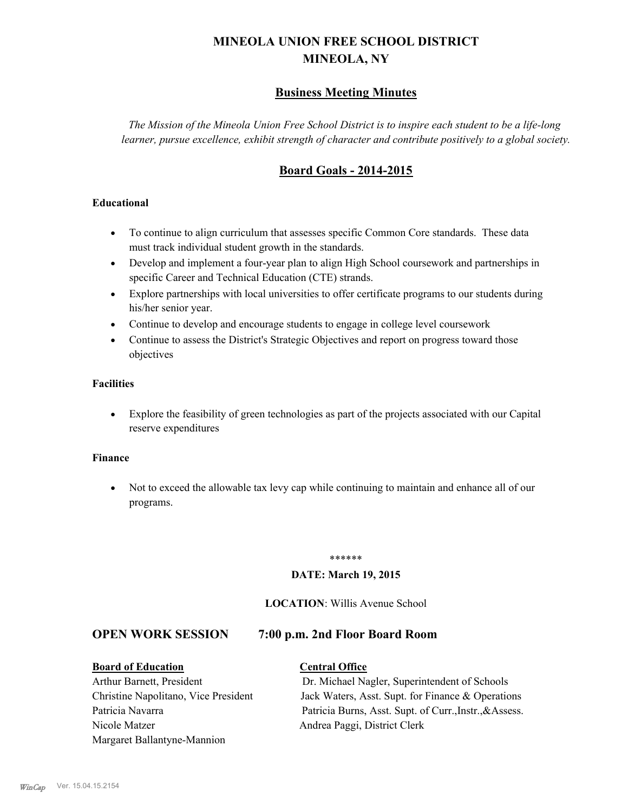# **MINEOLA UNION FREE SCHOOL DISTRICT MINEOLA, NY**

# **Business Meeting Minutes**

*The Mission of the Mineola Union Free School District is to inspire each student to be a life-long learner, pursue excellence, exhibit strength of character and contribute positively to a global society.*

# **Board Goals - 2014-2015**

#### **Educational**

- · To continue to align curriculum that assesses specific Common Core standards. These data must track individual student growth in the standards.
- · Develop and implement a four-year plan to align High School coursework and partnerships in specific Career and Technical Education (CTE) strands.
- · Explore partnerships with local universities to offer certificate programs to our students during his/her senior year.
- · Continue to develop and encourage students to engage in college level coursework
- Continue to assess the District's Strategic Objectives and report on progress toward those objectives

#### **Facilities**

· Explore the feasibility of green technologies as part of the projects associated with our Capital reserve expenditures

#### **Finance**

· Not to exceed the allowable tax levy cap while continuing to maintain and enhance all of our programs.

#### \*\*\*\*\*\*

#### **DATE: March 19, 2015**

#### **LOCATION**: Willis Avenue School

#### **OPEN WORK SESSION 7:00 p.m. 2nd Floor Board Room**

#### **Board of Education Central Office**

Nicole Matzer Andrea Paggi, District Clerk Margaret Ballantyne-Mannion

Arthur Barnett, President Dr. Michael Nagler, Superintendent of Schools Christine Napolitano, Vice President Jack Waters, Asst. Supt. for Finance & Operations Patricia Navarra Patricia Burns, Asst. Supt. of Curr., Instr., &Assess.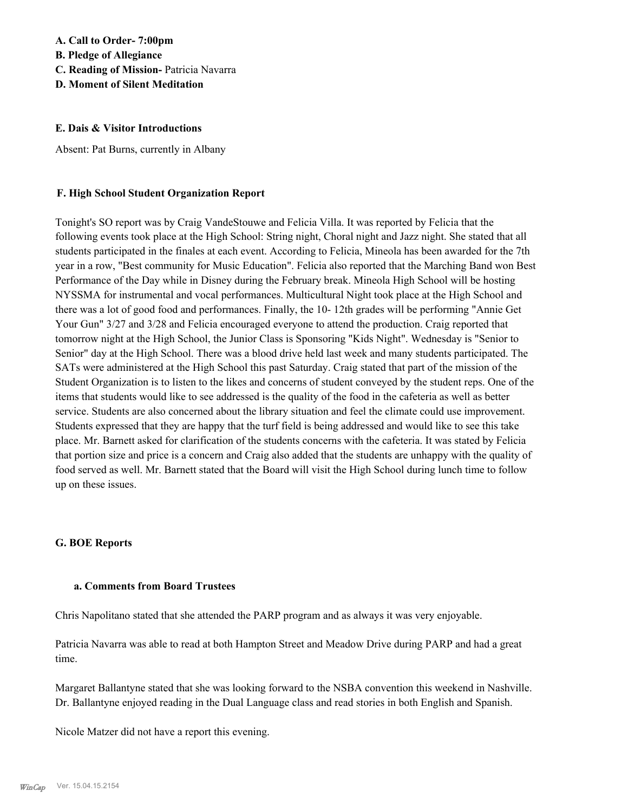# **A. Call to Order- 7:00pm**

**B. Pledge of Allegiance**

**C. Reading of Mission-** Patricia Navarra

**D. Moment of Silent Meditation**

#### **E. Dais & Visitor Introductions**

Absent: Pat Burns, currently in Albany

#### **F. High School Student Organization Report**

Tonight's SO report was by Craig VandeStouwe and Felicia Villa. It was reported by Felicia that the following events took place at the High School: String night, Choral night and Jazz night. She stated that all students participated in the finales at each event. According to Felicia, Mineola has been awarded for the 7th year in a row, "Best community for Music Education". Felicia also reported that the Marching Band won Best Performance of the Day while in Disney during the February break. Mineola High School will be hosting NYSSMA for instrumental and vocal performances. Multicultural Night took place at the High School and there was a lot of good food and performances. Finally, the 10- 12th grades will be performing "Annie Get Your Gun" 3/27 and 3/28 and Felicia encouraged everyone to attend the production. Craig reported that tomorrow night at the High School, the Junior Class is Sponsoring "Kids Night". Wednesday is "Senior to Senior" day at the High School. There was a blood drive held last week and many students participated. The SATs were administered at the High School this past Saturday. Craig stated that part of the mission of the Student Organization is to listen to the likes and concerns of student conveyed by the student reps. One of the items that students would like to see addressed is the quality of the food in the cafeteria as well as better service. Students are also concerned about the library situation and feel the climate could use improvement. Students expressed that they are happy that the turf field is being addressed and would like to see this take place. Mr. Barnett asked for clarification of the students concerns with the cafeteria. It was stated by Felicia that portion size and price is a concern and Craig also added that the students are unhappy with the quality of food served as well. Mr. Barnett stated that the Board will visit the High School during lunch time to follow up on these issues.

#### **G. BOE Reports**

#### **a. Comments from Board Trustees**

Chris Napolitano stated that she attended the PARP program and as always it was very enjoyable.

Patricia Navarra was able to read at both Hampton Street and Meadow Drive during PARP and had a great time.

Margaret Ballantyne stated that she was looking forward to the NSBA convention this weekend in Nashville. Dr. Ballantyne enjoyed reading in the Dual Language class and read stories in both English and Spanish.

Nicole Matzer did not have a report this evening.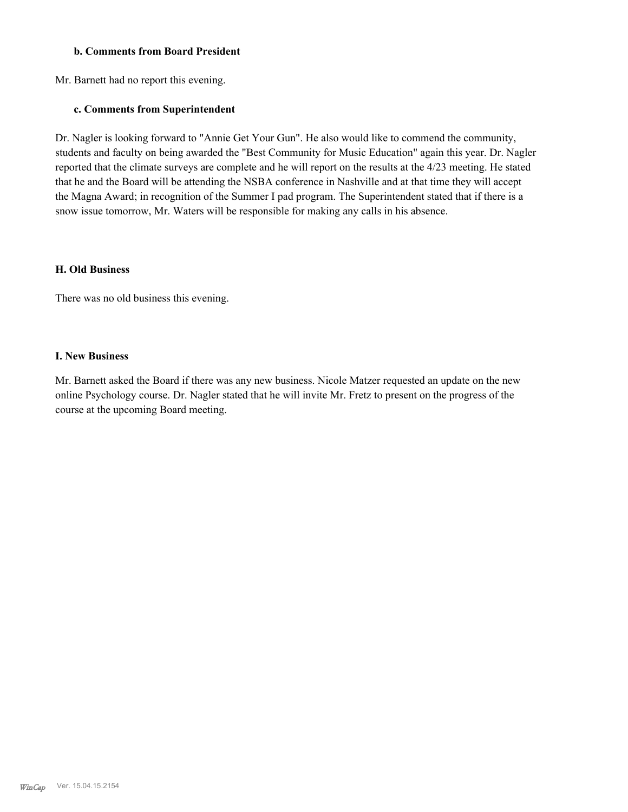#### **b. Comments from Board President**

Mr. Barnett had no report this evening.

#### **c. Comments from Superintendent**

Dr. Nagler is looking forward to "Annie Get Your Gun". He also would like to commend the community, students and faculty on being awarded the "Best Community for Music Education" again this year. Dr. Nagler reported that the climate surveys are complete and he will report on the results at the 4/23 meeting. He stated that he and the Board will be attending the NSBA conference in Nashville and at that time they will accept the Magna Award; in recognition of the Summer I pad program. The Superintendent stated that if there is a snow issue tomorrow, Mr. Waters will be responsible for making any calls in his absence.

#### **H. Old Business**

There was no old business this evening.

#### **I. New Business**

Mr. Barnett asked the Board if there was any new business. Nicole Matzer requested an update on the new online Psychology course. Dr. Nagler stated that he will invite Mr. Fretz to present on the progress of the course at the upcoming Board meeting.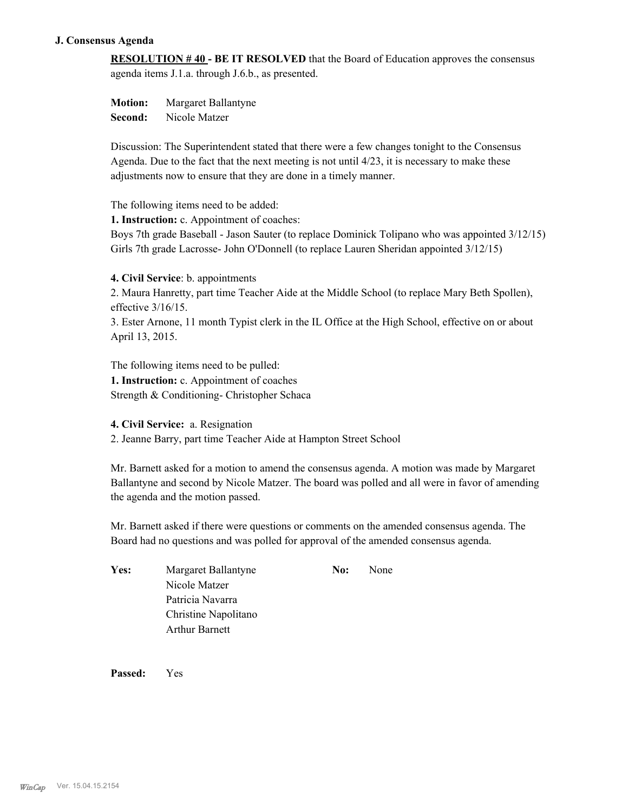#### **J. Consensus Agenda**

**RESOLUTION # 40 - BE IT RESOLVED** that the Board of Education approves the consensus agenda items J.1.a. through J.6.b., as presented.

**Motion:** Margaret Ballantyne **Second:** Nicole Matzer

Discussion: The Superintendent stated that there were a few changes tonight to the Consensus Agenda. Due to the fact that the next meeting is not until  $4/23$ , it is necessary to make these adjustments now to ensure that they are done in a timely manner.

The following items need to be added:

**1. Instruction:** c. Appointment of coaches:

Boys 7th grade Baseball - Jason Sauter (to replace Dominick Tolipano who was appointed 3/12/15) Girls 7th grade Lacrosse- John O'Donnell (to replace Lauren Sheridan appointed 3/12/15)

**4. Civil Service**: b. appointments

2. Maura Hanretty, part time Teacher Aide at the Middle School (to replace Mary Beth Spollen), effective 3/16/15.

3. Ester Arnone, 11 month Typist clerk in the IL Office at the High School, effective on or about April 13, 2015.

The following items need to be pulled:

**1. Instruction:** c. Appointment of coaches Strength & Conditioning- Christopher Schaca

**4. Civil Service:** a. Resignation

2. Jeanne Barry, part time Teacher Aide at Hampton Street School

Mr. Barnett asked for a motion to amend the consensus agenda. A motion was made by Margaret Ballantyne and second by Nicole Matzer. The board was polled and all were in favor of amending the agenda and the motion passed.

Mr. Barnett asked if there were questions or comments on the amended consensus agenda. The Board had no questions and was polled for approval of the amended consensus agenda.

| Yes: | Margaret Ballantyne   | No: | None |
|------|-----------------------|-----|------|
|      | Nicole Matzer         |     |      |
|      | Patricia Navarra      |     |      |
|      | Christine Napolitano  |     |      |
|      | <b>Arthur Barnett</b> |     |      |

**Passed:** Yes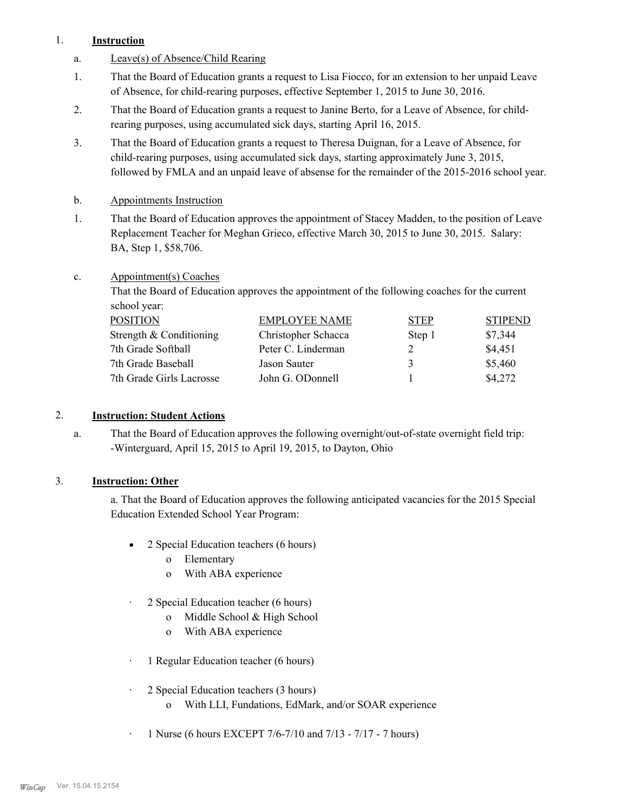#### 1. **Instruction**

- a. Leave(s) of Absence/Child Rearing
- That the Board of Education grants a request to Lisa Fiocco, for an extension to her unpaid Leave of Absence, for child-rearing purposes, effective September 1, 2015 to June 30, 2016. 1.
- That the Board of Education grants a request to Janine Berto, for a Leave of Absence, for childrearing purposes, using accumulated sick days, starting April 16, 2015. 2.
- That the Board of Education grants a request to Theresa Duignan, for a Leave of Absence, for child-rearing purposes, using accumulated sick days, starting approximately June 3, 2015, followed by FMLA and an unpaid leave of absense for the remainder of the 2015-2016 school year. 3.
- b. Appointments Instruction
- That the Board of Education approves the appointment of Stacey Madden, to the position of Leave Replacement Teacher for Meghan Grieco, effective March 30, 2015 to June 30, 2015. Salary: BA, Step 1, \$58,706. 1.
- Appointment(s) Coaches c.

That the Board of Education approves the appointment of the following coaches for the current school year:

| <b>POSITION</b>          | <b>EMPLOYEE NAME</b> | <b>STEP</b> | <b>STIPEND</b> |
|--------------------------|----------------------|-------------|----------------|
| Strength & Conditioning  | Christopher Schacca  | Step 1      | \$7,344        |
| 7th Grade Softball       | Peter C. Linderman   |             | \$4,451        |
| 7th Grade Baseball       | Jason Sauter         | 3           | \$5,460        |
| 7th Grade Girls Lacrosse | John G. ODonnell     |             | \$4,272        |

# 2. **Instruction: Student Actions**

That the Board of Education approves the following overnight/out-of-state overnight field trip: -Winterguard, April 15, 2015 to April 19, 2015, to Dayton, Ohio a.

# 3. **Instruction: Other**

a. That the Board of Education approves the following anticipated vacancies for the 2015 Special Education Extended School Year Program:

- 2 Special Education teachers (6 hours)
	- o Elementary
	- o With ABA experience
- · 2 Special Education teacher (6 hours)
	- o Middle School & High School
	- o With ABA experience
- · 1 Regular Education teacher (6 hours)
- · 2 Special Education teachers (3 hours)
	- o With LLI, Fundations, EdMark, and/or SOAR experience
- · 1 Nurse (6 hours EXCEPT 7/6-7/10 and 7/13 7/17 7 hours)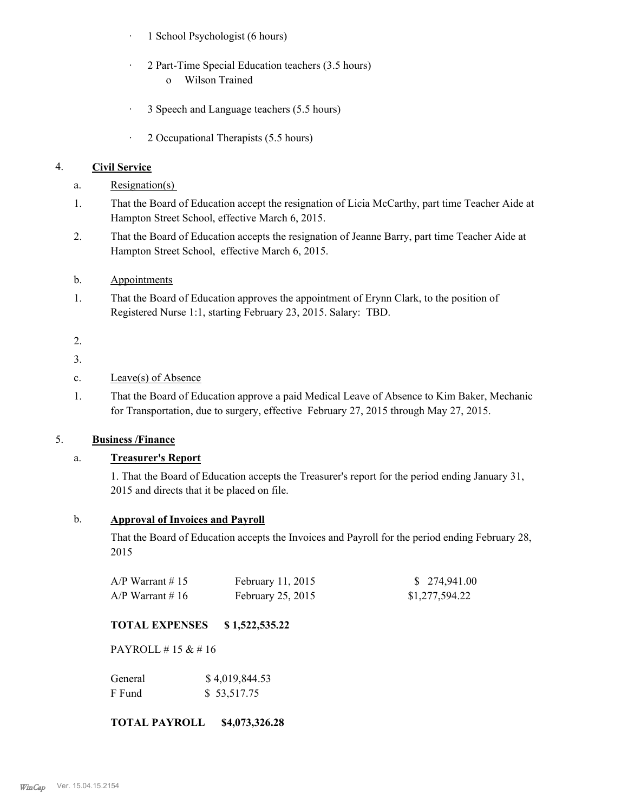- · 1 School Psychologist (6 hours)
- · 2 Part-Time Special Education teachers (3.5 hours) o Wilson Trained
- · 3 Speech and Language teachers (5.5 hours)
- · 2 Occupational Therapists (5.5 hours)

#### 4. **Civil Service**

- a. Resignation(s)
- That the Board of Education accept the resignation of Licia McCarthy, part time Teacher Aide at Hampton Street School, effective March 6, 2015. 1.
- That the Board of Education accepts the resignation of Jeanne Barry, part time Teacher Aide at Hampton Street School, effective March 6, 2015. 2.
- b. Appointments
- That the Board of Education approves the appointment of Erynn Clark, to the position of Registered Nurse 1:1, starting February 23, 2015. Salary: TBD. 1.
- 2.
- 3.
- c. Leave(s) of Absence
- That the Board of Education approve a paid Medical Leave of Absence to Kim Baker, Mechanic for Transportation, due to surgery, effective February 27, 2015 through May 27, 2015. 1.

### 5. **Business /Finance**

#### a. **Treasurer's Report**

1. That the Board of Education accepts the Treasurer's report for the period ending January 31, 2015 and directs that it be placed on file.

### b. **Approval of Invoices and Payroll**

That the Board of Education accepts the Invoices and Payroll for the period ending February 28, 2015

| $A/P$ Warrant # 15 | February 11, 2015 | \$274,941.00   |
|--------------------|-------------------|----------------|
| $A/P$ Warrant #16  | February 25, 2015 | \$1,277,594.22 |

# **TOTAL EXPENSES \$ 1,522,535.22**

PAYROLL # 15 & # 16

| General | \$4,019,844.53 |
|---------|----------------|
| F Fund  | \$53,517.75    |

#### **TOTAL PAYROLL \$4,073,326.28**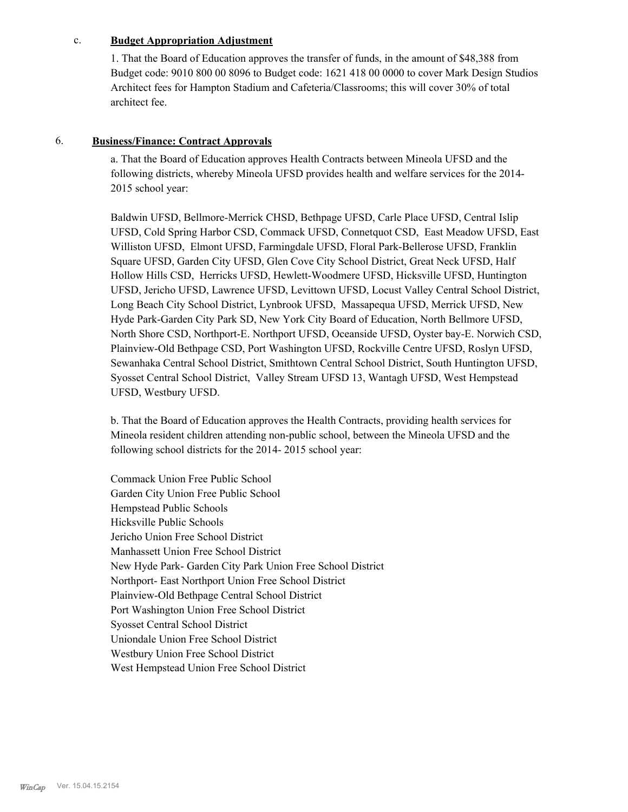#### c. **Budget Appropriation Adjustment**

1. That the Board of Education approves the transfer of funds, in the amount of \$48,388 from Budget code: 9010 800 00 8096 to Budget code: 1621 418 00 0000 to cover Mark Design Studios Architect fees for Hampton Stadium and Cafeteria/Classrooms; this will cover 30% of total architect fee.

#### 6. **Business/Finance: Contract Approvals**

a. That the Board of Education approves Health Contracts between Mineola UFSD and the following districts, whereby Mineola UFSD provides health and welfare services for the 2014- 2015 school year:

Baldwin UFSD, Bellmore-Merrick CHSD, Bethpage UFSD, Carle Place UFSD, Central Islip UFSD, Cold Spring Harbor CSD, Commack UFSD, Connetquot CSD, East Meadow UFSD, East Williston UFSD, Elmont UFSD, Farmingdale UFSD, Floral Park-Bellerose UFSD, Franklin Square UFSD, Garden City UFSD, Glen Cove City School District, Great Neck UFSD, Half Hollow Hills CSD, Herricks UFSD, Hewlett-Woodmere UFSD, Hicksville UFSD, Huntington UFSD, Jericho UFSD, Lawrence UFSD, Levittown UFSD, Locust Valley Central School District, Long Beach City School District, Lynbrook UFSD, Massapequa UFSD, Merrick UFSD, New Hyde Park-Garden City Park SD, New York City Board of Education, North Bellmore UFSD, North Shore CSD, Northport-E. Northport UFSD, Oceanside UFSD, Oyster bay-E. Norwich CSD, Plainview-Old Bethpage CSD, Port Washington UFSD, Rockville Centre UFSD, Roslyn UFSD, Sewanhaka Central School District, Smithtown Central School District, South Huntington UFSD, Syosset Central School District, Valley Stream UFSD 13, Wantagh UFSD, West Hempstead UFSD, Westbury UFSD.

b. That the Board of Education approves the Health Contracts, providing health services for Mineola resident children attending non-public school, between the Mineola UFSD and the following school districts for the 2014- 2015 school year:

Commack Union Free Public School Garden City Union Free Public School Hempstead Public Schools Hicksville Public Schools Jericho Union Free School District Manhassett Union Free School District New Hyde Park- Garden City Park Union Free School District Northport- East Northport Union Free School District Plainview-Old Bethpage Central School District Port Washington Union Free School District Syosset Central School District Uniondale Union Free School District Westbury Union Free School District West Hempstead Union Free School District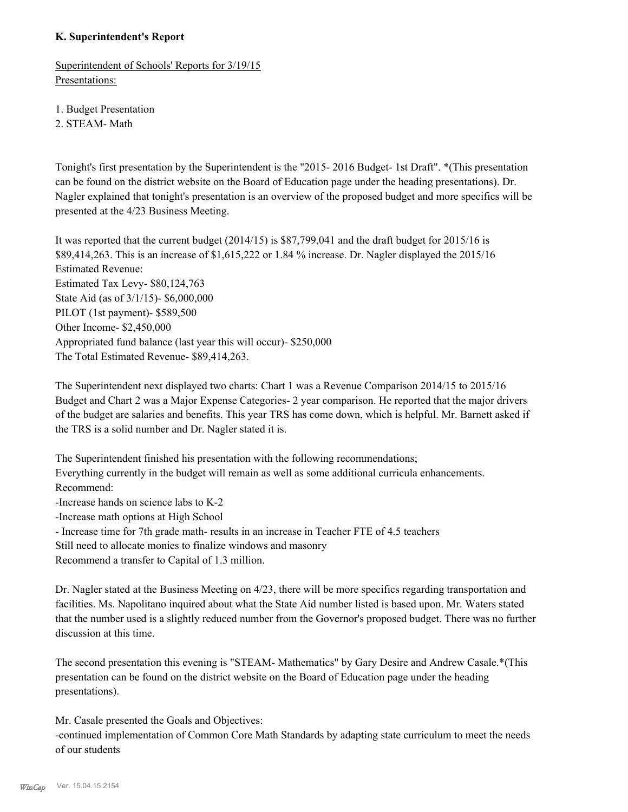#### **K. Superintendent's Report**

Superintendent of Schools' Reports for 3/19/15 Presentations:

1. Budget Presentation

2. STEAM- Math

Tonight's first presentation by the Superintendent is the "2015- 2016 Budget- 1st Draft". \*(This presentation can be found on the district website on the Board of Education page under the heading presentations). Dr. Nagler explained that tonight's presentation is an overview of the proposed budget and more specifics will be presented at the 4/23 Business Meeting.

It was reported that the current budget (2014/15) is \$87,799,041 and the draft budget for 2015/16 is \$89,414,263. This is an increase of \$1,615,222 or 1.84 % increase. Dr. Nagler displayed the 2015/16 Estimated Revenue: Estimated Tax Levy- \$80,124,763 State Aid (as of 3/1/15)- \$6,000,000 PILOT (1st payment)- \$589,500 Other Income- \$2,450,000 Appropriated fund balance (last year this will occur)- \$250,000 The Total Estimated Revenue- \$89,414,263.

The Superintendent next displayed two charts: Chart 1 was a Revenue Comparison 2014/15 to 2015/16 Budget and Chart 2 was a Major Expense Categories- 2 year comparison. He reported that the major drivers of the budget are salaries and benefits. This year TRS has come down, which is helpful. Mr. Barnett asked if the TRS is a solid number and Dr. Nagler stated it is.

The Superintendent finished his presentation with the following recommendations; Everything currently in the budget will remain as well as some additional curricula enhancements. Recommend: -Increase hands on science labs to K-2

-Increase math options at High School

- Increase time for 7th grade math- results in an increase in Teacher FTE of 4.5 teachers

Still need to allocate monies to finalize windows and masonry

Recommend a transfer to Capital of 1.3 million.

Dr. Nagler stated at the Business Meeting on 4/23, there will be more specifics regarding transportation and facilities. Ms. Napolitano inquired about what the State Aid number listed is based upon. Mr. Waters stated that the number used is a slightly reduced number from the Governor's proposed budget. There was no further discussion at this time.

The second presentation this evening is "STEAM- Mathematics" by Gary Desire and Andrew Casale.\*(This presentation can be found on the district website on the Board of Education page under the heading presentations).

Mr. Casale presented the Goals and Objectives:

-continued implementation of Common Core Math Standards by adapting state curriculum to meet the needs of our students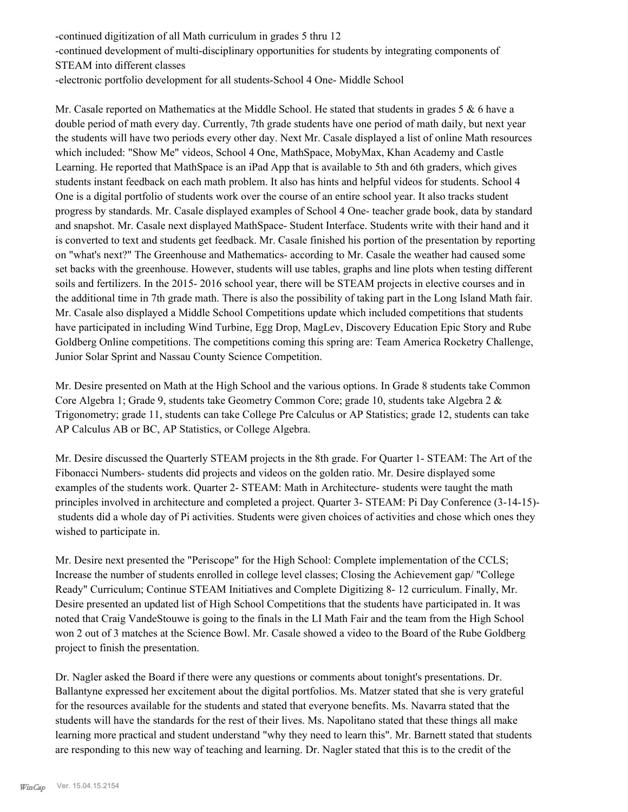-continued digitization of all Math curriculum in grades 5 thru 12 -continued development of multi-disciplinary opportunities for students by integrating components of STEAM into different classes -electronic portfolio development for all students-School 4 One- Middle School

Mr. Casale reported on Mathematics at the Middle School. He stated that students in grades 5 & 6 have a double period of math every day. Currently, 7th grade students have one period of math daily, but next year the students will have two periods every other day. Next Mr. Casale displayed a list of online Math resources which included: "Show Me" videos, School 4 One, MathSpace, MobyMax, Khan Academy and Castle Learning. He reported that MathSpace is an iPad App that is available to 5th and 6th graders, which gives students instant feedback on each math problem. It also has hints and helpful videos for students. School 4 One is a digital portfolio of students work over the course of an entire school year. It also tracks student progress by standards. Mr. Casale displayed examples of School 4 One- teacher grade book, data by standard and snapshot. Mr. Casale next displayed MathSpace- Student Interface. Students write with their hand and it is converted to text and students get feedback. Mr. Casale finished his portion of the presentation by reporting on "what's next?" The Greenhouse and Mathematics- according to Mr. Casale the weather had caused some set backs with the greenhouse. However, students will use tables, graphs and line plots when testing different soils and fertilizers. In the 2015- 2016 school year, there will be STEAM projects in elective courses and in the additional time in 7th grade math. There is also the possibility of taking part in the Long Island Math fair. Mr. Casale also displayed a Middle School Competitions update which included competitions that students have participated in including Wind Turbine, Egg Drop, MagLev, Discovery Education Epic Story and Rube Goldberg Online competitions. The competitions coming this spring are: Team America Rocketry Challenge, Junior Solar Sprint and Nassau County Science Competition.

Mr. Desire presented on Math at the High School and the various options. In Grade 8 students take Common Core Algebra 1; Grade 9, students take Geometry Common Core; grade 10, students take Algebra 2 & Trigonometry; grade 11, students can take College Pre Calculus or AP Statistics; grade 12, students can take AP Calculus AB or BC, AP Statistics, or College Algebra.

Mr. Desire discussed the Quarterly STEAM projects in the 8th grade. For Quarter 1- STEAM: The Art of the Fibonacci Numbers- students did projects and videos on the golden ratio. Mr. Desire displayed some examples of the students work. Quarter 2- STEAM: Math in Architecture- students were taught the math principles involved in architecture and completed a project. Quarter 3- STEAM: Pi Day Conference (3-14-15) students did a whole day of Pi activities. Students were given choices of activities and chose which ones they wished to participate in.

Mr. Desire next presented the "Periscope" for the High School: Complete implementation of the CCLS; Increase the number of students enrolled in college level classes; Closing the Achievement gap/ "College Ready" Curriculum; Continue STEAM Initiatives and Complete Digitizing 8- 12 curriculum. Finally, Mr. Desire presented an updated list of High School Competitions that the students have participated in. It was noted that Craig VandeStouwe is going to the finals in the LI Math Fair and the team from the High School won 2 out of 3 matches at the Science Bowl. Mr. Casale showed a video to the Board of the Rube Goldberg project to finish the presentation.

Dr. Nagler asked the Board if there were any questions or comments about tonight's presentations. Dr. Ballantyne expressed her excitement about the digital portfolios. Ms. Matzer stated that she is very grateful for the resources available for the students and stated that everyone benefits. Ms. Navarra stated that the students will have the standards for the rest of their lives. Ms. Napolitano stated that these things all make learning more practical and student understand "why they need to learn this". Mr. Barnett stated that students are responding to this new way of teaching and learning. Dr. Nagler stated that this is to the credit of the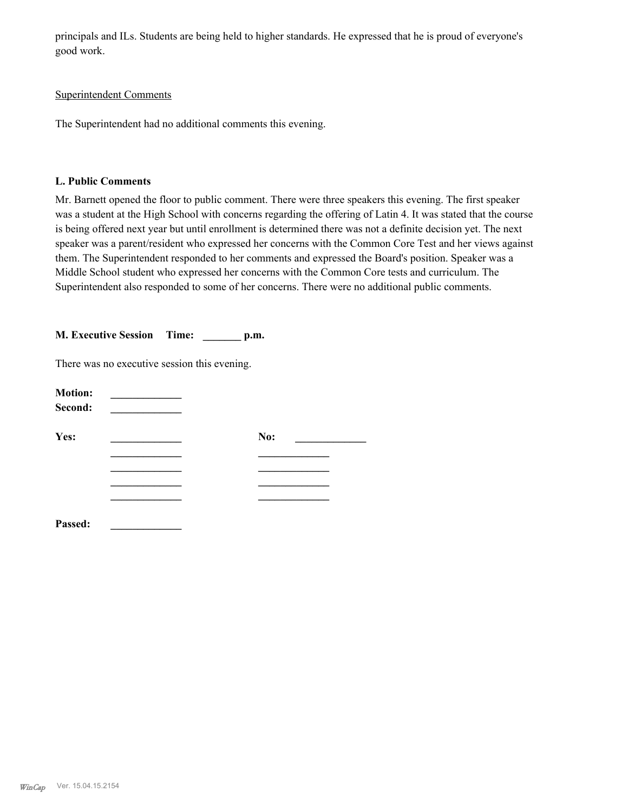principals and ILs. Students are being held to higher standards. He expressed that he is proud of everyone's good work.

#### Superintendent Comments

The Superintendent had no additional comments this evening.

#### **L. Public Comments**

Mr. Barnett opened the floor to public comment. There were three speakers this evening. The first speaker was a student at the High School with concerns regarding the offering of Latin 4. It was stated that the course is being offered next year but until enrollment is determined there was not a definite decision yet. The next speaker was a parent/resident who expressed her concerns with the Common Core Test and her views against them. The Superintendent responded to her comments and expressed the Board's position. Speaker was a Middle School student who expressed her concerns with the Common Core tests and curriculum. The Superintendent also responded to some of her concerns. There were no additional public comments.

| <b>M. Executive Session</b> | Time: | p.m. |
|-----------------------------|-------|------|
|                             |       |      |

There was no executive session this evening.

| <b>Motion:</b><br>Second: |     |  |
|---------------------------|-----|--|
| Yes:                      | No: |  |
|                           |     |  |
|                           |     |  |
|                           |     |  |
|                           |     |  |
| Passed:                   |     |  |